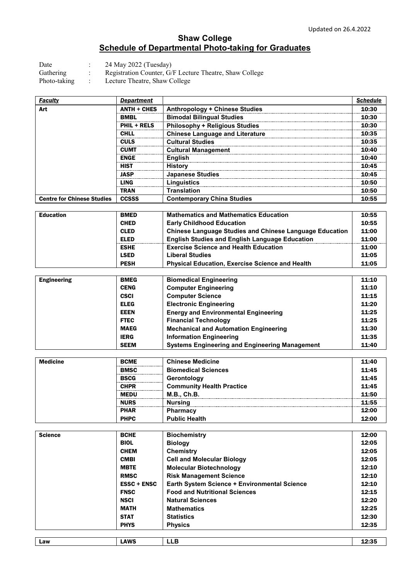## **Shaw College Schedule of Departmental Photo-taking for Graduates**

Date : 24 May 2022 (Tuesday)<br>Gathering : Registration Counter, G/ : Registration Counter, G/F Lecture Theatre, Shaw College

Photo-taking : Lecture Theatre, Shaw College

| <b>Faculty</b>                    | <b>Department</b>  |                                        | Schedule |
|-----------------------------------|--------------------|----------------------------------------|----------|
| Art                               | <b>ANTH + CHES</b> | <b>Anthropology + Chinese Studies</b>  | 10:30    |
|                                   | <b>BMBL</b>        | <b>Bimodal Bilingual Studies</b>       | 10:30    |
|                                   | <b>PHIL + RELS</b> | <b>Philosophy + Religious Studies</b>  | 10:30    |
|                                   | CHI I              | <b>Chinese Language and Literature</b> | 10:35    |
|                                   | <b>CULS</b>        | <b>Cultural Studies</b>                | 10:35    |
|                                   | CUMT               | <b>Cultural Management</b>             | 10:40    |
|                                   | <b>ENGE</b>        | <b>English</b>                         | 10:40    |
|                                   | <b>HIST</b>        | <b>History</b>                         | 10.45    |
|                                   | JASP               | <b>Japanese Studies</b>                | 10:45    |
|                                   | LING               | Linguistics                            | 10:50    |
|                                   | <b>TRAN</b>        | <b>Translation</b>                     | 10:50    |
| <b>Centre for Chinese Studies</b> | <b>CCSSS</b>       | <b>Contemporary China Studies</b>      | 10:55    |

| <b>Education</b> | <b>BMED</b> | <b>Mathematics and Mathematics Education</b>                   | 10:55 |
|------------------|-------------|----------------------------------------------------------------|-------|
|                  | <b>CHED</b> | <b>Early Childhood Education</b>                               | 10:55 |
|                  | <b>CLED</b> | <b>Chinese Language Studies and Chinese Language Education</b> | 11:00 |
|                  | <b>ELED</b> | <b>English Studies and English Language Education</b>          | 11:00 |
|                  | <b>ESHE</b> | <b>Exercise Science and Health Education</b>                   | 11:00 |
|                  | <b>LSED</b> | <b>Liberal Studies</b>                                         | 11:05 |
|                  | <b>PESH</b> | <b>Physical Education, Exercise Science and Health</b>         | 11:05 |

| <b>Engineering</b> | <b>BMEG</b> | <b>Biomedical Engineering</b>                         | 11:10 |
|--------------------|-------------|-------------------------------------------------------|-------|
|                    | <b>CENG</b> | <b>Computer Engineering</b>                           | 11:10 |
|                    | <b>CSCI</b> | <b>Computer Science</b>                               | 11:15 |
|                    | <b>ELEG</b> | <b>Electronic Engineering</b>                         | 11:20 |
|                    | <b>EEEN</b> | <b>Energy and Environmental Engineering</b>           | 11:25 |
|                    | <b>FTEC</b> | <b>Financial Technology</b>                           | 11:25 |
|                    | <b>MAEG</b> | <b>Mechanical and Automation Engineering</b>          | 11:30 |
|                    | <b>IERG</b> | <b>Information Engineering</b>                        | 11:35 |
|                    | <b>SEEM</b> | <b>Systems Engineering and Engineering Management</b> | 11:40 |

| <b>Medicine</b> | <b>BCME</b> | <b>Chinese Medicine</b>          | 11:40 |
|-----------------|-------------|----------------------------------|-------|
|                 | <b>BMSC</b> | <b>Biomedical Sciences</b>       | 11:45 |
|                 | <b>BSCG</b> | Gerontology                      | 11:45 |
|                 | <b>CHPR</b> | <b>Community Health Practice</b> | 11:45 |
|                 | <b>MEDU</b> | <b>M.B., Ch.B.</b>               | 11:50 |
|                 | <b>NURS</b> | <b>Nursing</b>                   | 11:55 |
|                 | <b>PHAR</b> | Pharmacy                         | 12:00 |
|                 | <b>PHPC</b> | <b>Public Health</b>             | 12:00 |

| <b>Science</b> | <b>BCHE</b>        | <b>Biochemistry</b>                          | 12:00 |
|----------------|--------------------|----------------------------------------------|-------|
|                | <b>BIOL</b>        | <b>Biology</b>                               | 12:05 |
|                | <b>CHEM</b>        | <b>Chemistry</b>                             | 12:05 |
|                | <b>CMBI</b>        | <b>Cell and Molecular Biology</b>            | 12:05 |
|                | <b>MBTE</b>        | <b>Molecular Biotechnology</b>               | 12:10 |
|                | <b>RMSC</b>        | <b>Risk Management Science</b>               | 12:10 |
|                | <b>ESSC + ENSC</b> | Earth System Science + Environmental Science | 12:10 |
|                | <b>FNSC</b>        | <b>Food and Nutritional Sciences</b>         | 12:15 |
|                | <b>NSCI</b>        | <b>Natural Sciences</b>                      | 12:20 |
|                | <b>MATH</b>        | <b>Mathematics</b>                           | 12:25 |
|                | <b>STAT</b>        | <b>Statistics</b>                            | 12:30 |
|                | <b>PHYS</b>        | <b>Physics</b>                               | 12:35 |
|                |                    |                                              |       |
| Law            | <b>LAWS</b>        | <b>LLB</b>                                   | 12:35 |